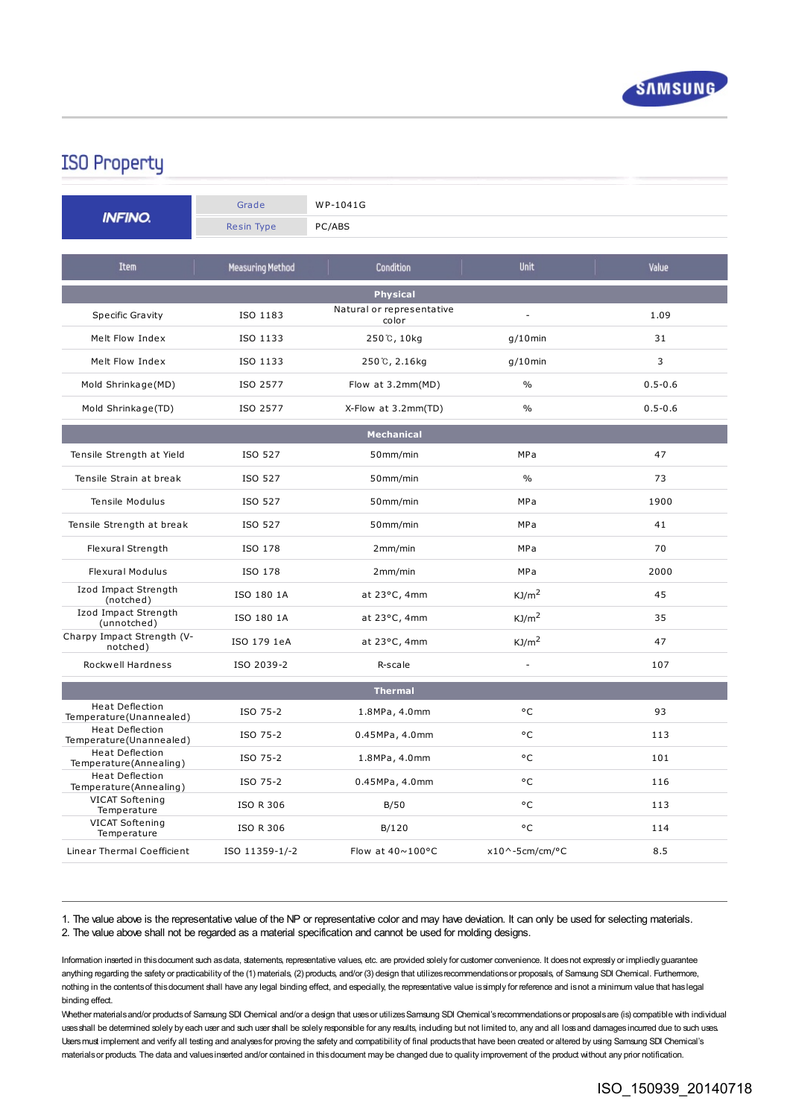

## **ISO Property**

|                                                   | Grade                   | WP-1041G                           |                          |             |
|---------------------------------------------------|-------------------------|------------------------------------|--------------------------|-------------|
| <b>INFINO.</b>                                    | Resin Type              | PC/ABS                             |                          |             |
| <b>Item</b>                                       | <b>Measuring Method</b> | <b>Condition</b>                   | Unit                     | Value       |
| <b>Physical</b>                                   |                         |                                    |                          |             |
| Specific Gravity                                  | ISO 1183                | Natural or representative<br>color | $\overline{a}$           | 1.09        |
| Melt Flow Index                                   | ISO 1133                | 250℃, 10kg                         | $g/10$ min               | 31          |
| Melt Flow Index                                   | ISO 1133                | 250℃, 2.16kg                       | $q/10$ min               | 3           |
| Mold Shrinkage(MD)                                | ISO 2577                | Flow at 3.2mm(MD)                  | $\%$                     | $0.5 - 0.6$ |
| Mold Shrinkage(TD)                                | ISO 2577                | X-Flow at 3.2mm(TD)                | $\frac{0}{0}$            | $0.5 - 0.6$ |
| <b>Mechanical</b>                                 |                         |                                    |                          |             |
| Tensile Strength at Yield                         | ISO 527                 | 50mm/min                           | MPa                      | 47          |
| Tensile Strain at break                           | ISO 527                 | 50mm/min                           | $\%$                     | 73          |
| Tensile Modulus                                   | ISO 527                 | 50mm/min                           | <b>MPa</b>               | 1900        |
| Tensile Strength at break                         | ISO 527                 | 50mm/min                           | MPa                      | 41          |
| Flexural Strength                                 | ISO 178                 | 2mm/min                            | <b>MPa</b>               | 70          |
| <b>Flexural Modulus</b>                           | ISO 178                 | 2mm/min                            | MPa                      | 2000        |
| Izod Impact Strength<br>(notched)                 | ISO 180 1A              | at 23°C, 4mm                       | KJ/m <sup>2</sup>        | 45          |
| Izod Impact Strength<br>(unnotched)               | ISO 180 1A              | at $23^{\circ}$ C, 4mm             | KJ/m <sup>2</sup>        | 35          |
| Charpy Impact Strength (V-<br>notched)            | ISO 179 1eA             | at 23°C, 4mm                       | KJ/m <sup>2</sup>        | 47          |
| Rockwell Hardness                                 | ISO 2039-2              | R-scale                            | $\overline{\phantom{a}}$ | 107         |
| <b>Thermal</b>                                    |                         |                                    |                          |             |
| <b>Heat Deflection</b><br>Temperature(Unannealed) | ISO 75-2                | 1.8MPa, 4.0mm                      | °C                       | 93          |
| <b>Heat Deflection</b><br>Temperature(Unannealed) | ISO 75-2                | 0.45MPa, 4.0mm                     | °C                       | 113         |
| Heat Deflection<br>Temperature (Annealing)        | ISO 75-2                | 1.8MPa, 4.0mm                      | °C                       | 101         |
| <b>Heat Deflection</b><br>Temperature(Annealing)  | ISO 75-2                | 0.45MPa, 4.0mm                     | ۰c                       | 116         |
| VICAT Softening<br>Temperature                    | <b>ISO R 306</b>        | B/50                               | °C                       | 113         |
| VICAT Softening<br>Temperature                    | <b>ISO R 306</b>        | B/120                              | °C                       | 114         |
| Linear Thermal Coefficient                        | ISO 11359-1/-2          | Flow at $40 \sim 100$ °C           | $x10^{\circ}$ -5cm/cm/°C | 8.5         |

1. The value above is the representative value of the NP or representative color and may have deviation. It can only be used for selecting materials. 2. The value above shall not be regarded as a material specification and cannot be used for molding designs.

Information inserted in thisdocument such asdata, statements, representative values, etc. are provided solely for customer convenience. It doesnot expressly or impliedly guarantee anything regarding the safety or practicability of the (1) materials, (2) products, and/or (3) design that utilizes recommendations or proposals, of Samsung SDI Chemical. Furthermore, nothing in the contentsof thisdocument shall have any legal binding effect, and especially, the representative value issimply for reference and isnot a minimum value that haslegal binding effect.

Whether materials and/or products of Samsung SDI Chemical and/or a design that uses or utilizes Samsung SDI Chemical's recommendations or proposals are (is) compatible with individual uses shall be determined solely by each user and such user shall be solely responsible for any results, including but not limited to, any and all loss and damages incurred due to such uses. Users must implement and verify all testing and analyses for proving the safety and compatibility of final products that have been created or altered by using Samsung SDI Chemical's materials or products. The data and values inserted and/or contained in this document may be changed due to quality improvement of the product without any prior notification.